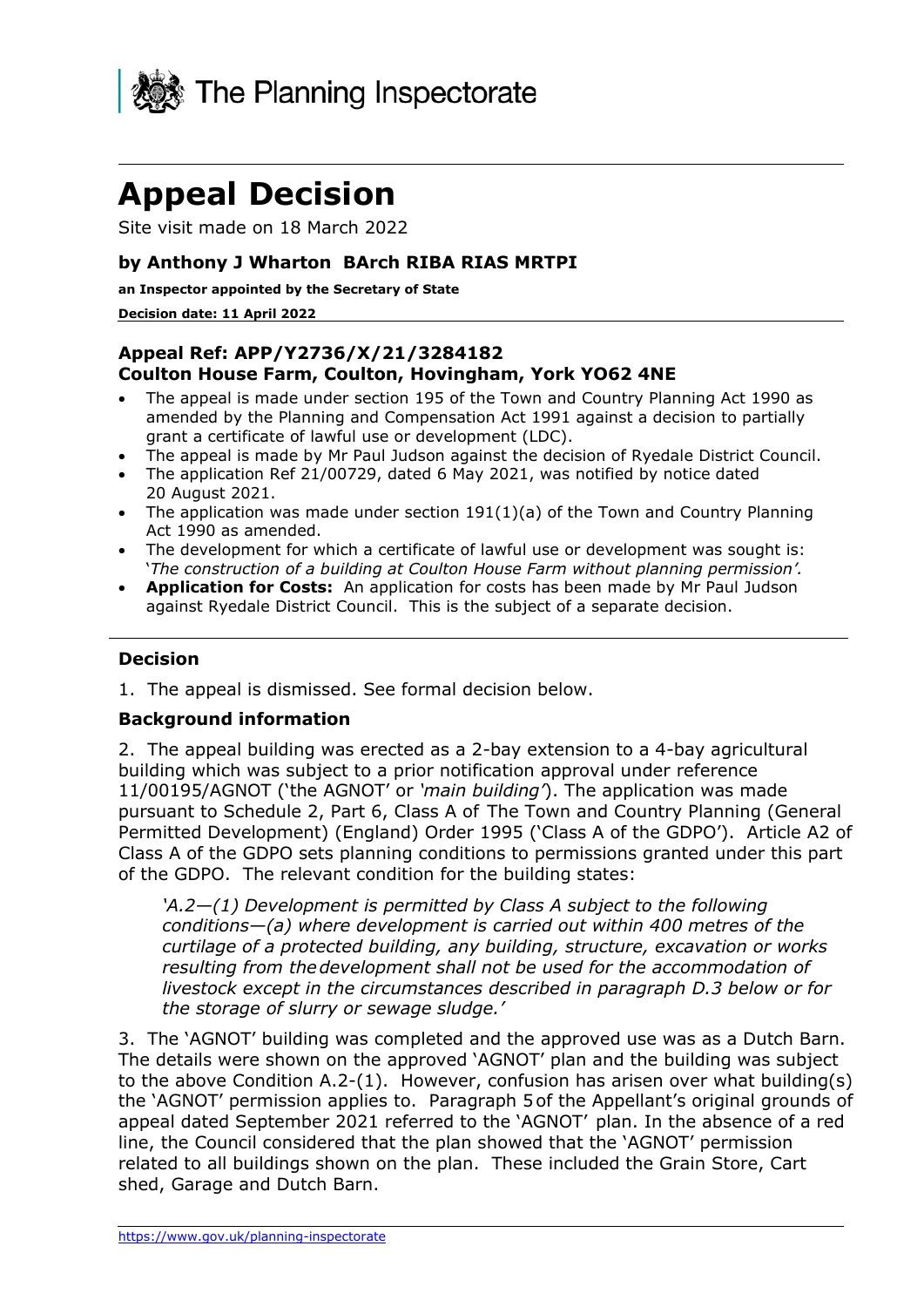

# **Appeal Decision**

Site visit made on 18 March 2022

#### **by Anthony J Wharton BArch RIBA RIAS MRTPI**

**an Inspector appointed by the Secretary of State** 

#### **Decision date: 11 April 2022**

#### **Appeal Ref: APP/Y2736/X/21/3284182 Coulton House Farm, Coulton, Hovingham, York YO62 4NE**

- The appeal is made under section 195 of the Town and Country Planning Act 1990 as amended by the Planning and Compensation Act 1991 against a decision to partially grant a certificate of lawful use or development (LDC).
- The appeal is made by Mr Paul Judson against the decision of Ryedale District Council.
- The application Ref 21/00729, dated 6 May 2021, was notified by notice dated 20 August 2021.
- The application was made under section 191(1)(a) of the Town and Country Planning Act 1990 as amended.
- The development for which a certificate of lawful use or development was sought is: '*The construction of a building at Coulton House Farm without planning permission'.*
- **Application for Costs:** An application for costs has been made by Mr Paul Judson against Ryedale District Council. This is the subject of a separate decision.

#### **Decision**

1. The appeal is dismissed. See formal decision below.

#### **Background information**

2. The appeal building was erected as a 2-bay extension to a 4-bay agricultural building which was subject to a prior notification approval under reference 11/00195/AGNOT ('the AGNOT' or *'main building'*). The application was made pursuant to Schedule 2, Part 6, Class A of The Town and Country Planning (General Permitted Development) (England) Order 1995 ('Class A of the GDPO'). Article A2 of Class A of the GDPO sets planning conditions to permissions granted under this part of the GDPO. The relevant condition for the building states:

*'A.2—(1) Development is permitted by Class A subject to the following conditions—(a) where development is carried out within 400 metres of the curtilage of a protected building, any building, structure, excavation or works resulting from thedevelopment shall not be used for the accommodation of livestock except in the circumstances described in paragraph D.3 below or for the storage of slurry or sewage sludge.'*

3. The 'AGNOT' building was completed and the approved use was as a Dutch Barn. The details were shown on the approved 'AGNOT' plan and the building was subject to the above Condition A.2-(1). However, confusion has arisen over what building(s) the 'AGNOT' permission applies to. Paragraph 5of the Appellant's original grounds of appeal dated September 2021 referred to the 'AGNOT' plan. In the absence of a red line, the Council considered that the plan showed that the 'AGNOT' permission related to all buildings shown on the plan. These included the Grain Store, Cart shed, Garage and Dutch Barn.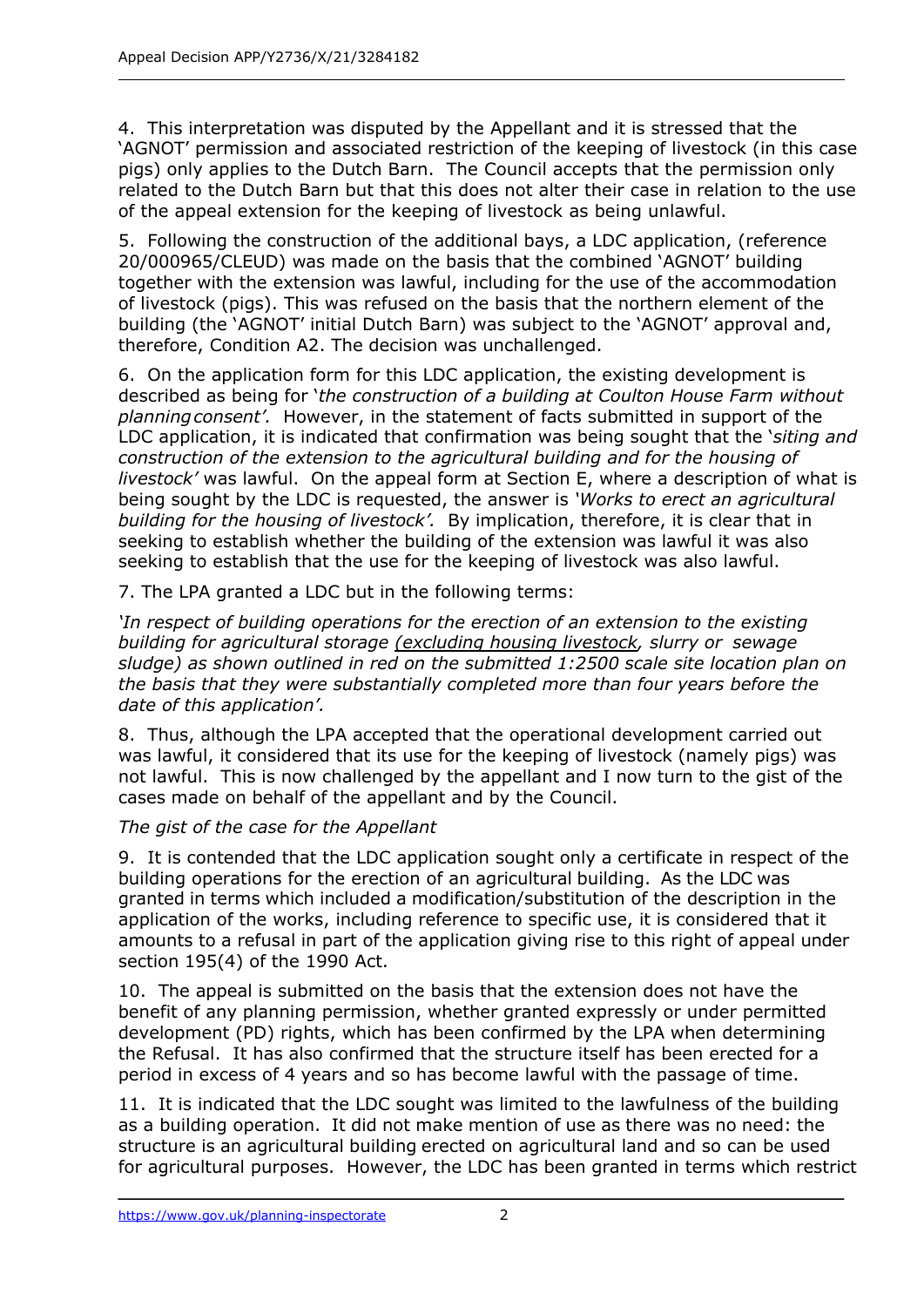4. This interpretation was disputed by the Appellant and it is stressed that the 'AGNOT' permission and associated restriction of the keeping of livestock (in this case pigs) only applies to the Dutch Barn. The Council accepts that the permission only related to the Dutch Barn but that this does not alter their case in relation to the use of the appeal extension for the keeping of livestock as being unlawful.

5. Following the construction of the additional bays, a LDC application, (reference 20/000965/CLEUD) was made on the basis that the combined 'AGNOT' building together with the extension was lawful, including for the use of the accommodation of livestock (pigs). This was refused on the basis that the northern element of the building (the 'AGNOT' initial Dutch Barn) was subject to the 'AGNOT' approval and, therefore, Condition A2. The decision was unchallenged.

6. On the application form for this LDC application, the existing development is described as being for '*the construction of a building at Coulton House Farm without planningconsent'.* However, in the statement of facts submitted in support of the LDC application, it is indicated that confirmation was being sought that the '*siting and construction of the extension to the agricultural building and for the housing of livestock'* was lawful. On the appeal form at Section E, where a description of what is being sought by the LDC is requested, the answer is *'Works to erect an agricultural building for the housing of livestock'.* By implication, therefore, it is clear that in seeking to establish whether the building of the extension was lawful it was also seeking to establish that the use for the keeping of livestock was also lawful.

7. The LPA granted a LDC but in the following terms:

*'In respect of building operations for the erection of an extension to the existing building for agricultural storage (excluding housing livestock, slurry or sewage sludge) as shown outlined in red on the submitted 1:2500 scale site location plan on the basis that they were substantially completed more than four years before the date of this application'.*

8. Thus, although the LPA accepted that the operational development carried out was lawful, it considered that its use for the keeping of livestock (namely pigs) was not lawful. This is now challenged by the appellant and I now turn to the gist of the cases made on behalf of the appellant and by the Council.

## *The gist of the case for the Appellant*

9. It is contended that the LDC application sought only a certificate in respect of the building operations for the erection of an agricultural building. As the LDC was granted in terms which included a modification/substitution of the description in the application of the works, including reference to specific use, it is considered that it amounts to a refusal in part of the application giving rise to this right of appeal under section 195(4) of the 1990 Act.

10. The appeal is submitted on the basis that the extension does not have the benefit of any planning permission, whether granted expressly or under permitted development (PD) rights, which has been confirmed by the LPA when determining the Refusal. It has also confirmed that the structure itself has been erected for a period in excess of 4 years and so has become lawful with the passage of time.

11. It is indicated that the LDC sought was limited to the lawfulness of the building as a building operation. It did not make mention of use as there was no need: the structure is an agricultural building erected on agricultural land and so can be used for agricultural purposes. However, the LDC has been granted in terms which restrict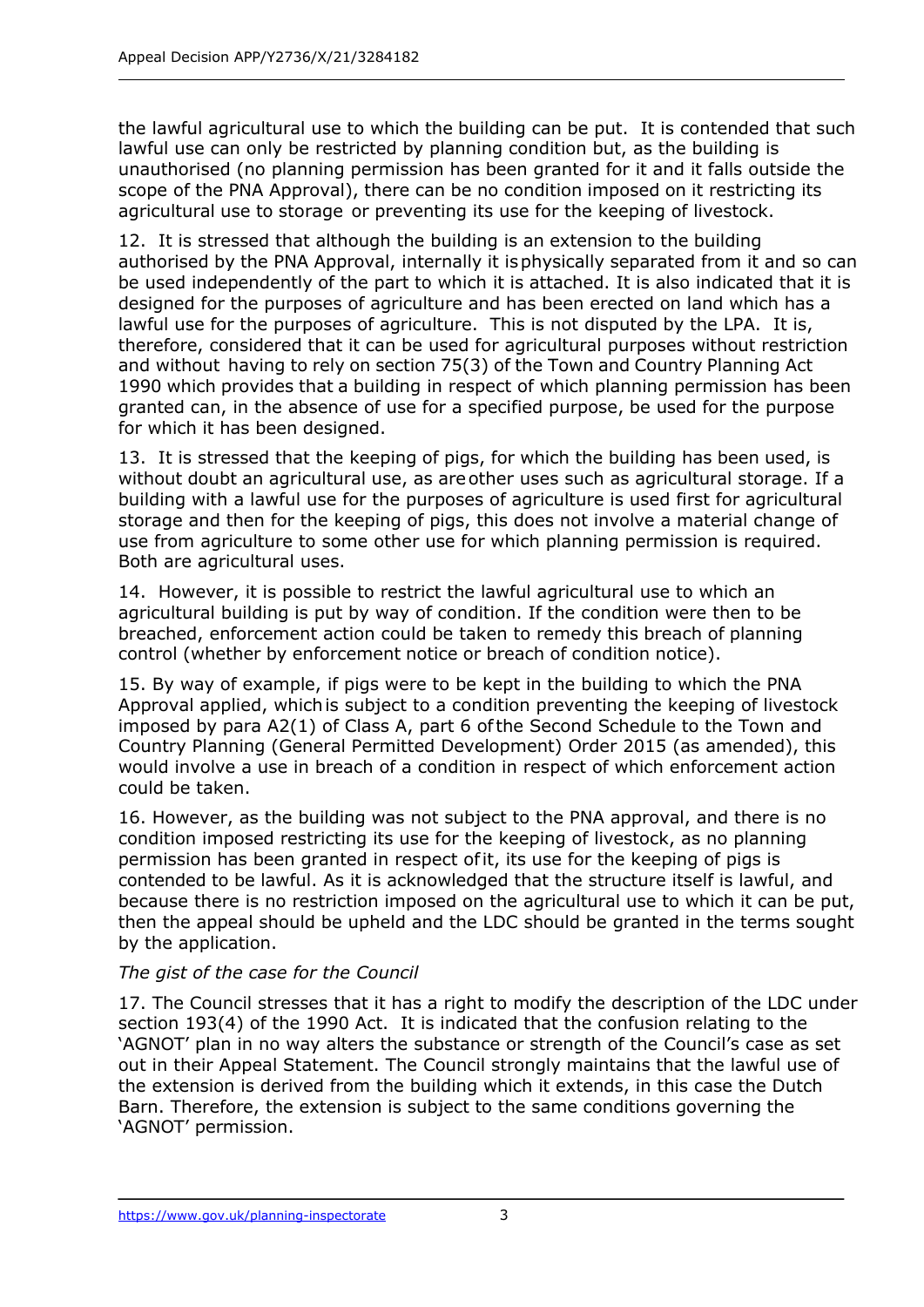the lawful agricultural use to which the building can be put. It is contended that such lawful use can only be restricted by planning condition but, as the building is unauthorised (no planning permission has been granted for it and it falls outside the scope of the PNA Approval), there can be no condition imposed on it restricting its agricultural use to storage or preventing its use for the keeping of livestock.

12. It is stressed that although the building is an extension to the building authorised by the PNA Approval, internally it isphysically separated from it and so can be used independently of the part to which it is attached. It is also indicated that it is designed for the purposes of agriculture and has been erected on land which has a lawful use for the purposes of agriculture. This is not disputed by the LPA. It is, therefore, considered that it can be used for agricultural purposes without restriction and without having to rely on section 75(3) of the Town and Country Planning Act 1990 which provides that a building in respect of which planning permission has been granted can, in the absence of use for a specified purpose, be used for the purpose for which it has been designed.

13. It is stressed that the keeping of pigs, for which the building has been used, is without doubt an agricultural use, as areother uses such as agricultural storage. If a building with a lawful use for the purposes of agriculture is used first for agricultural storage and then for the keeping of pigs, this does not involve a material change of use from agriculture to some other use for which planning permission is required. Both are agricultural uses.

14. However, it is possible to restrict the lawful agricultural use to which an agricultural building is put by way of condition. If the condition were then to be breached, enforcement action could be taken to remedy this breach of planning control (whether by enforcement notice or breach of condition notice).

15. By way of example, if pigs were to be kept in the building to which the PNA Approval applied, whichis subject to a condition preventing the keeping of livestock imposed by para A2(1) of Class A, part 6 ofthe Second Schedule to the Town and Country Planning (General Permitted Development) Order 2015 (as amended), this would involve a use in breach of a condition in respect of which enforcement action could be taken.

16. However, as the building was not subject to the PNA approval, and there is no condition imposed restricting its use for the keeping of livestock, as no planning permission has been granted in respect ofit, its use for the keeping of pigs is contended to be lawful. As it is acknowledged that the structure itself is lawful, and because there is no restriction imposed on the agricultural use to which it can be put, then the appeal should be upheld and the LDC should be granted in the terms sought by the application.

## *The gist of the case for the Council*

17. The Council stresses that it has a right to modify the description of the LDC under section 193(4) of the 1990 Act. It is indicated that the confusion relating to the 'AGNOT' plan in no way alters the substance or strength of the Council's case as set out in their Appeal Statement. The Council strongly maintains that the lawful use of the extension is derived from the building which it extends, in this case the Dutch Barn. Therefore, the extension is subject to the same conditions governing the 'AGNOT' permission.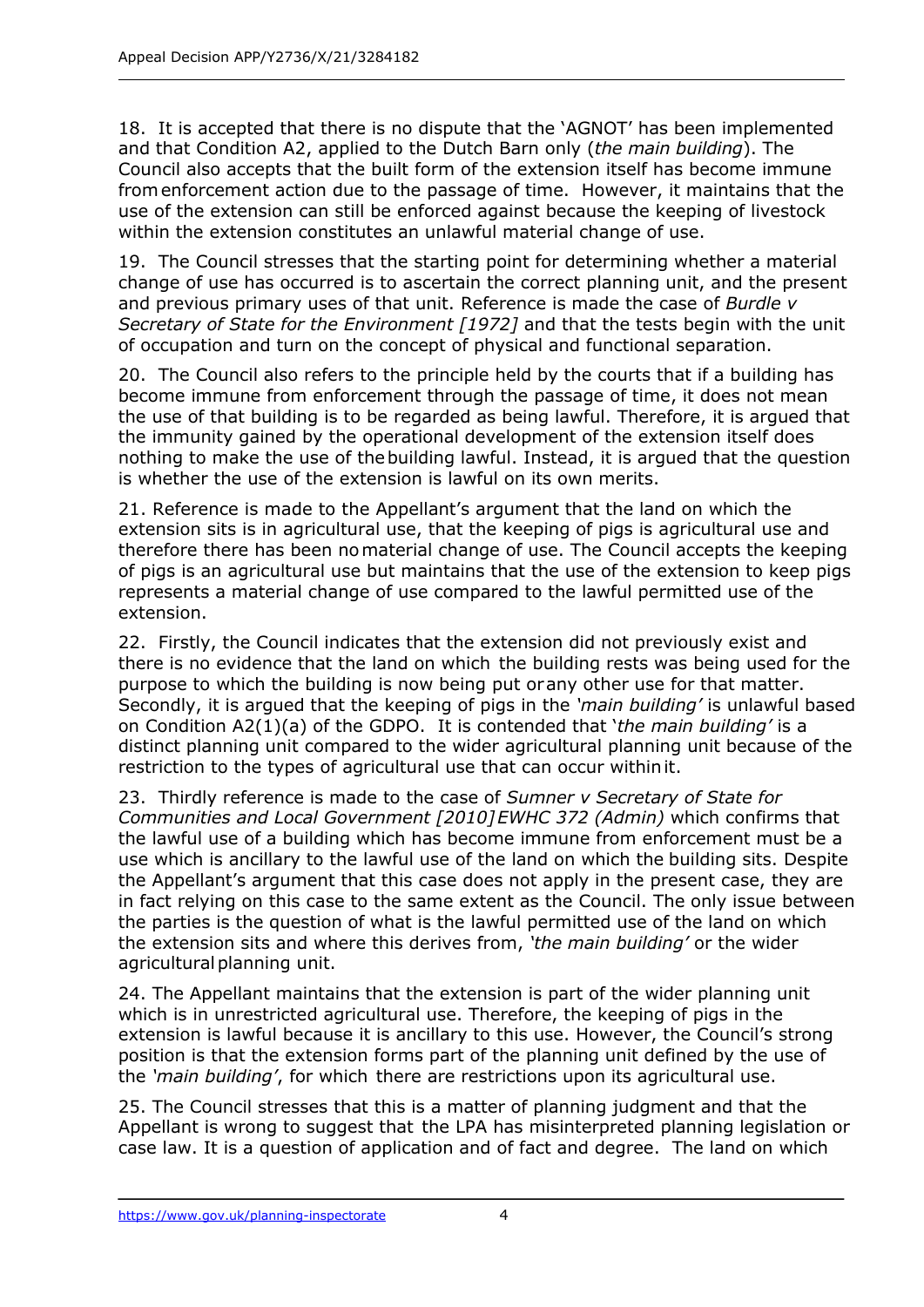18. It is accepted that there is no dispute that the 'AGNOT' has been implemented and that Condition A2, applied to the Dutch Barn only (*the main building*). The Council also accepts that the built form of the extension itself has become immune fromenforcement action due to the passage of time. However, it maintains that the use of the extension can still be enforced against because the keeping of livestock within the extension constitutes an unlawful material change of use.

19. The Council stresses that the starting point for determining whether a material change of use has occurred is to ascertain the correct planning unit, and the present and previous primary uses of that unit. Reference is made the case of *Burdle v Secretary of State for the Environment [1972]* and that the tests begin with the unit of occupation and turn on the concept of physical and functional separation.

20. The Council also refers to the principle held by the courts that if a building has become immune from enforcement through the passage of time, it does not mean the use of that building is to be regarded as being lawful. Therefore, it is argued that the immunity gained by the operational development of the extension itself does nothing to make the use of thebuilding lawful. Instead, it is argued that the question is whether the use of the extension is lawful on its own merits.

21. Reference is made to the Appellant's argument that the land on which the extension sits is in agricultural use, that the keeping of pigs is agricultural use and therefore there has been nomaterial change of use. The Council accepts the keeping of pigs is an agricultural use but maintains that the use of the extension to keep pigs represents a material change of use compared to the lawful permitted use of the extension.

22. Firstly, the Council indicates that the extension did not previously exist and there is no evidence that the land on which the building rests was being used for the purpose to which the building is now being put orany other use for that matter. Secondly, it is argued that the keeping of pigs in the *'main building'* is unlawful based on Condition A2(1)(a) of the GDPO. It is contended that '*the main building'* is a distinct planning unit compared to the wider agricultural planning unit because of the restriction to the types of agricultural use that can occur withinit.

23. Thirdly reference is made to the case of *Sumner v Secretary of State for Communities and Local Government [2010]EWHC 372 (Admin)* which confirms that the lawful use of a building which has become immune from enforcement must be a use which is ancillary to the lawful use of the land on which the building sits. Despite the Appellant's argument that this case does not apply in the present case, they are in fact relying on this case to the same extent as the Council. The only issue between the parties is the question of what is the lawful permitted use of the land on which the extension sits and where this derives from, *'the main building'* or the wider agricultural planning unit.

24. The Appellant maintains that the extension is part of the wider planning unit which is in unrestricted agricultural use. Therefore, the keeping of pigs in the extension is lawful because it is ancillary to this use. However, the Council's strong position is that the extension forms part of the planning unit defined by the use of the *'main building'*, for which there are restrictions upon its agricultural use.

25. The Council stresses that this is a matter of planning judgment and that the Appellant is wrong to suggest that the LPA has misinterpreted planning legislation or case law. It is a question of application and of fact and degree. The land on which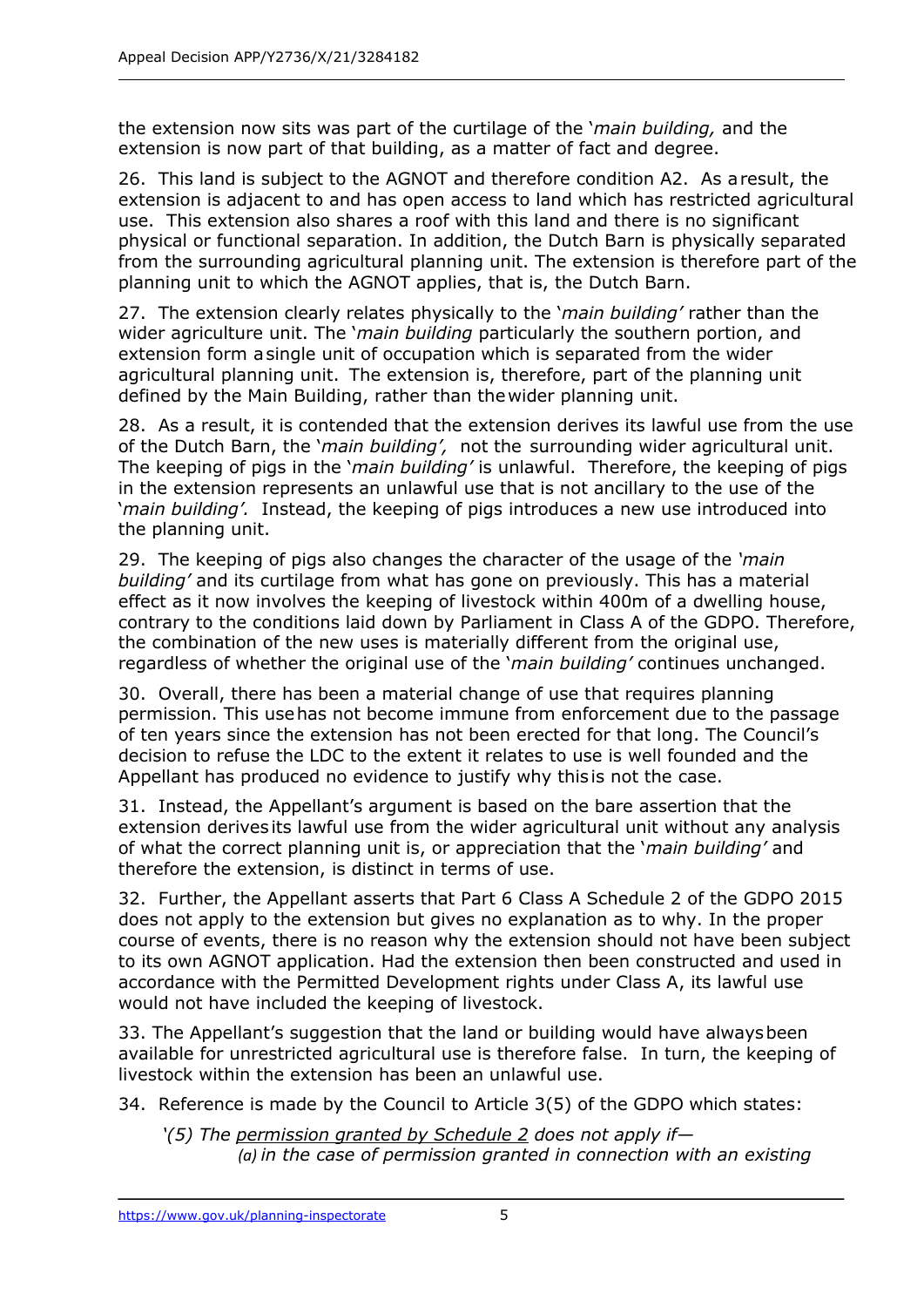the extension now sits was part of the curtilage of the '*main building,* and the extension is now part of that building, as a matter of fact and degree.

26. This land is subject to the AGNOT and therefore condition A2. As aresult, the extension is adjacent to and has open access to land which has restricted agricultural use. This extension also shares a roof with this land and there is no significant physical or functional separation. In addition, the Dutch Barn is physically separated from the surrounding agricultural planning unit. The extension is therefore part of the planning unit to which the AGNOT applies, that is, the Dutch Barn.

27. The extension clearly relates physically to the '*main building'* rather than the wider agriculture unit. The '*main building* particularly the southern portion, and extension form asingle unit of occupation which is separated from the wider agricultural planning unit. The extension is, therefore, part of the planning unit defined by the Main Building, rather than thewider planning unit.

28. As a result, it is contended that the extension derives its lawful use from the use of the Dutch Barn, the '*main building',* not the surrounding wider agricultural unit. The keeping of pigs in the '*main building'* is unlawful. Therefore, the keeping of pigs in the extension represents an unlawful use that is not ancillary to the use of the '*main building'.* Instead, the keeping of pigs introduces a new use introduced into the planning unit.

29. The keeping of pigs also changes the character of the usage of the *'main building'* and its curtilage from what has gone on previously. This has a material effect as it now involves the keeping of livestock within 400m of a dwelling house, contrary to the conditions laid down by Parliament in Class A of the GDPO. Therefore, the combination of the new uses is materially different from the original use, regardless of whether the original use of the '*main building'* continues unchanged.

30. Overall, there has been a material change of use that requires planning permission. This usehas not become immune from enforcement due to the passage of ten years since the extension has not been erected for that long. The Council's decision to refuse the LDC to the extent it relates to use is well founded and the Appellant has produced no evidence to justify why this is not the case.

31. Instead, the Appellant's argument is based on the bare assertion that the extension derives its lawful use from the wider agricultural unit without any analysis of what the correct planning unit is, or appreciation that the '*main building'* and therefore the extension, is distinct in terms of use.

32. Further, the Appellant asserts that Part 6 Class A Schedule 2 of the GDPO 2015 does not apply to the extension but gives no explanation as to why. In the proper course of events, there is no reason why the extension should not have been subject to its own AGNOT application. Had the extension then been constructed and used in accordance with the Permitted Development rights under Class A, its lawful use would not have included the keeping of livestock.

33. The Appellant's suggestion that the land or building would have alwaysbeen available for unrestricted agricultural use is therefore false. In turn, the keeping of livestock within the extension has been an unlawful use.

34. Reference is made by the Council to Article 3(5) of the GDPO which states:

*'(5) The permission granted by Schedule 2 does not apply if— (a) in the case of permission granted in connection with an existing*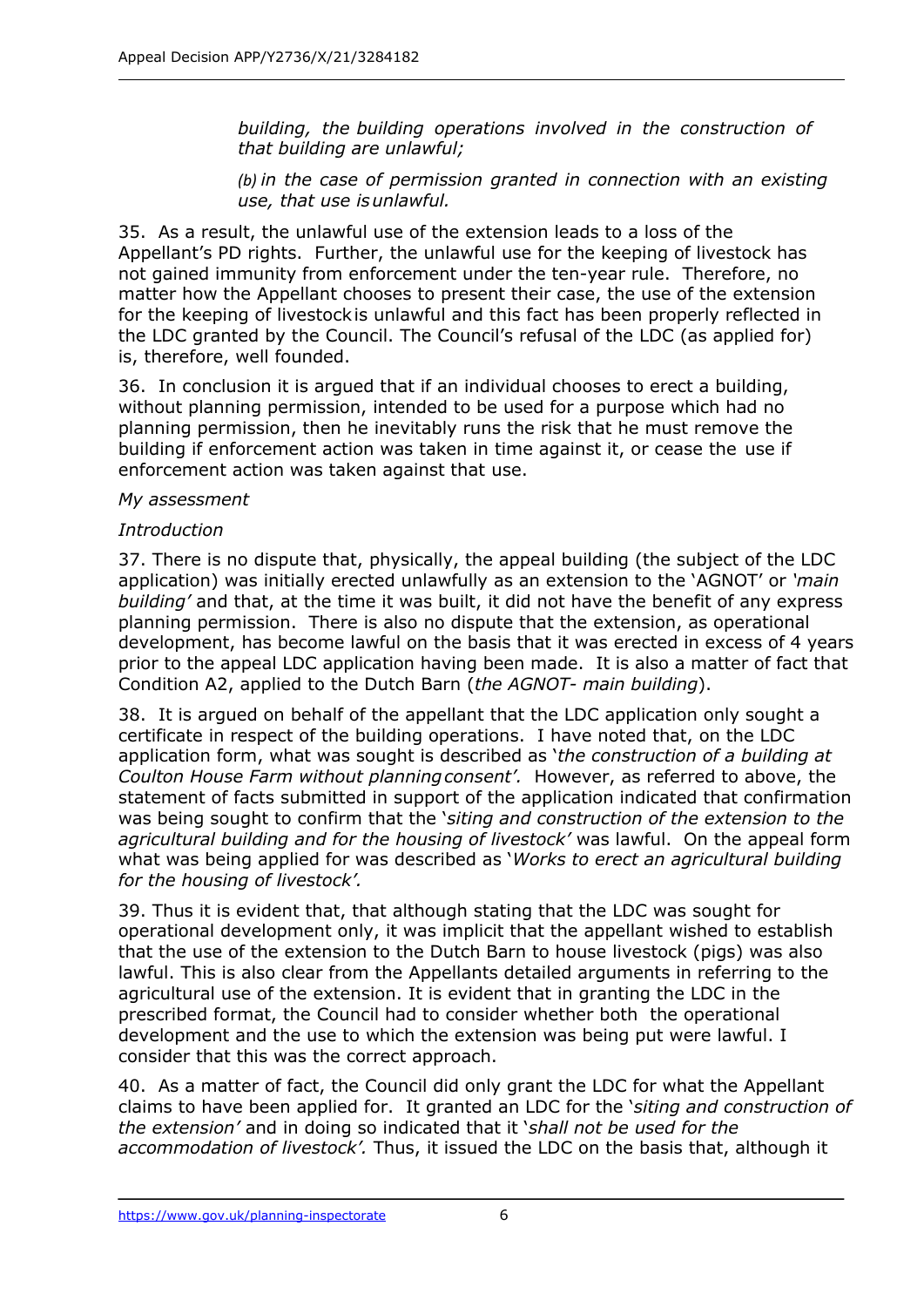*building, the building operations involved in the construction of that building are unlawful;*

*(b) in the case of permission granted in connection with an existing use, that use isunlawful.*

35. As a result, the unlawful use of the extension leads to a loss of the Appellant's PD rights. Further, the unlawful use for the keeping of livestock has not gained immunity from enforcement under the ten-year rule. Therefore, no matter how the Appellant chooses to present their case, the use of the extension for the keeping of livestockis unlawful and this fact has been properly reflected in the LDC granted by the Council. The Council's refusal of the LDC (as applied for) is, therefore, well founded.

36. In conclusion it is argued that if an individual chooses to erect a building, without planning permission, intended to be used for a purpose which had no planning permission, then he inevitably runs the risk that he must remove the building if enforcement action was taken in time against it, or cease the use if enforcement action was taken against that use.

#### *My assessment*

## *Introduction*

37. There is no dispute that, physically, the appeal building (the subject of the LDC application) was initially erected unlawfully as an extension to the 'AGNOT' or *'main building'* and that, at the time it was built, it did not have the benefit of any express planning permission. There is also no dispute that the extension, as operational development, has become lawful on the basis that it was erected in excess of 4 years prior to the appeal LDC application having been made. It is also a matter of fact that Condition A2, applied to the Dutch Barn (*the AGNOT- main building*).

38. It is argued on behalf of the appellant that the LDC application only sought a certificate in respect of the building operations. I have noted that, on the LDC application form, what was sought is described as '*the construction of a building at Coulton House Farm without planningconsent'.* However, as referred to above, the statement of facts submitted in support of the application indicated that confirmation was being sought to confirm that the '*siting and construction of the extension to the agricultural building and for the housing of livestock'* was lawful. On the appeal form what was being applied for was described as '*Works to erect an agricultural building for the housing of livestock'.*

39. Thus it is evident that, that although stating that the LDC was sought for operational development only, it was implicit that the appellant wished to establish that the use of the extension to the Dutch Barn to house livestock (pigs) was also lawful. This is also clear from the Appellants detailed arguments in referring to the agricultural use of the extension. It is evident that in granting the LDC in the prescribed format, the Council had to consider whether both the operational development and the use to which the extension was being put were lawful. I consider that this was the correct approach.

40. As a matter of fact, the Council did only grant the LDC for what the Appellant claims to have been applied for. It granted an LDC for the '*siting and construction of the extension'* and in doing so indicated that it '*shall not be used for the accommodation of livestock'.* Thus, it issued the LDC on the basis that, although it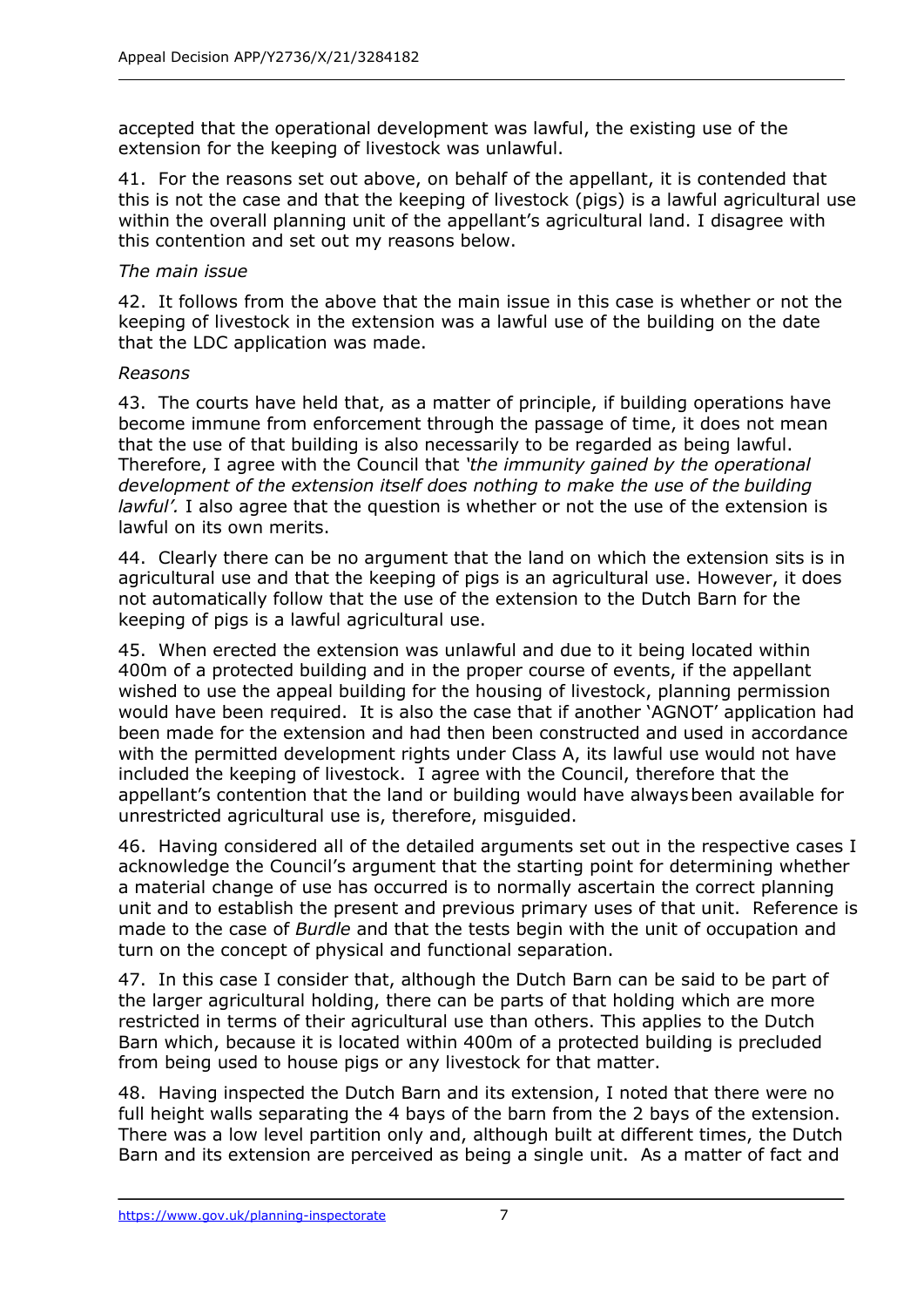accepted that the operational development was lawful, the existing use of the extension for the keeping of livestock was unlawful.

41. For the reasons set out above, on behalf of the appellant, it is contended that this is not the case and that the keeping of livestock (pigs) is a lawful agricultural use within the overall planning unit of the appellant's agricultural land. I disagree with this contention and set out my reasons below.

## *The main issue*

42. It follows from the above that the main issue in this case is whether or not the keeping of livestock in the extension was a lawful use of the building on the date that the LDC application was made.

## *Reasons*

43. The courts have held that, as a matter of principle, if building operations have become immune from enforcement through the passage of time, it does not mean that the use of that building is also necessarily to be regarded as being lawful. Therefore, I agree with the Council that *'the immunity gained by the operational development of the extension itself does nothing to make the use of the building lawful'.* I also agree that the question is whether or not the use of the extension is lawful on its own merits.

44. Clearly there can be no argument that the land on which the extension sits is in agricultural use and that the keeping of pigs is an agricultural use. However, it does not automatically follow that the use of the extension to the Dutch Barn for the keeping of pigs is a lawful agricultural use.

45. When erected the extension was unlawful and due to it being located within 400m of a protected building and in the proper course of events, if the appellant wished to use the appeal building for the housing of livestock, planning permission would have been required. It is also the case that if another 'AGNOT' application had been made for the extension and had then been constructed and used in accordance with the permitted development rights under Class A, its lawful use would not have included the keeping of livestock. I agree with the Council, therefore that the appellant's contention that the land or building would have alwaysbeen available for unrestricted agricultural use is, therefore, misguided.

46. Having considered all of the detailed arguments set out in the respective cases I acknowledge the Council's argument that the starting point for determining whether a material change of use has occurred is to normally ascertain the correct planning unit and to establish the present and previous primary uses of that unit. Reference is made to the case of *Burdle* and that the tests begin with the unit of occupation and turn on the concept of physical and functional separation.

47. In this case I consider that, although the Dutch Barn can be said to be part of the larger agricultural holding, there can be parts of that holding which are more restricted in terms of their agricultural use than others. This applies to the Dutch Barn which, because it is located within 400m of a protected building is precluded from being used to house pigs or any livestock for that matter.

48. Having inspected the Dutch Barn and its extension, I noted that there were no full height walls separating the 4 bays of the barn from the 2 bays of the extension. There was a low level partition only and, although built at different times, the Dutch Barn and its extension are perceived as being a single unit. As a matter of fact and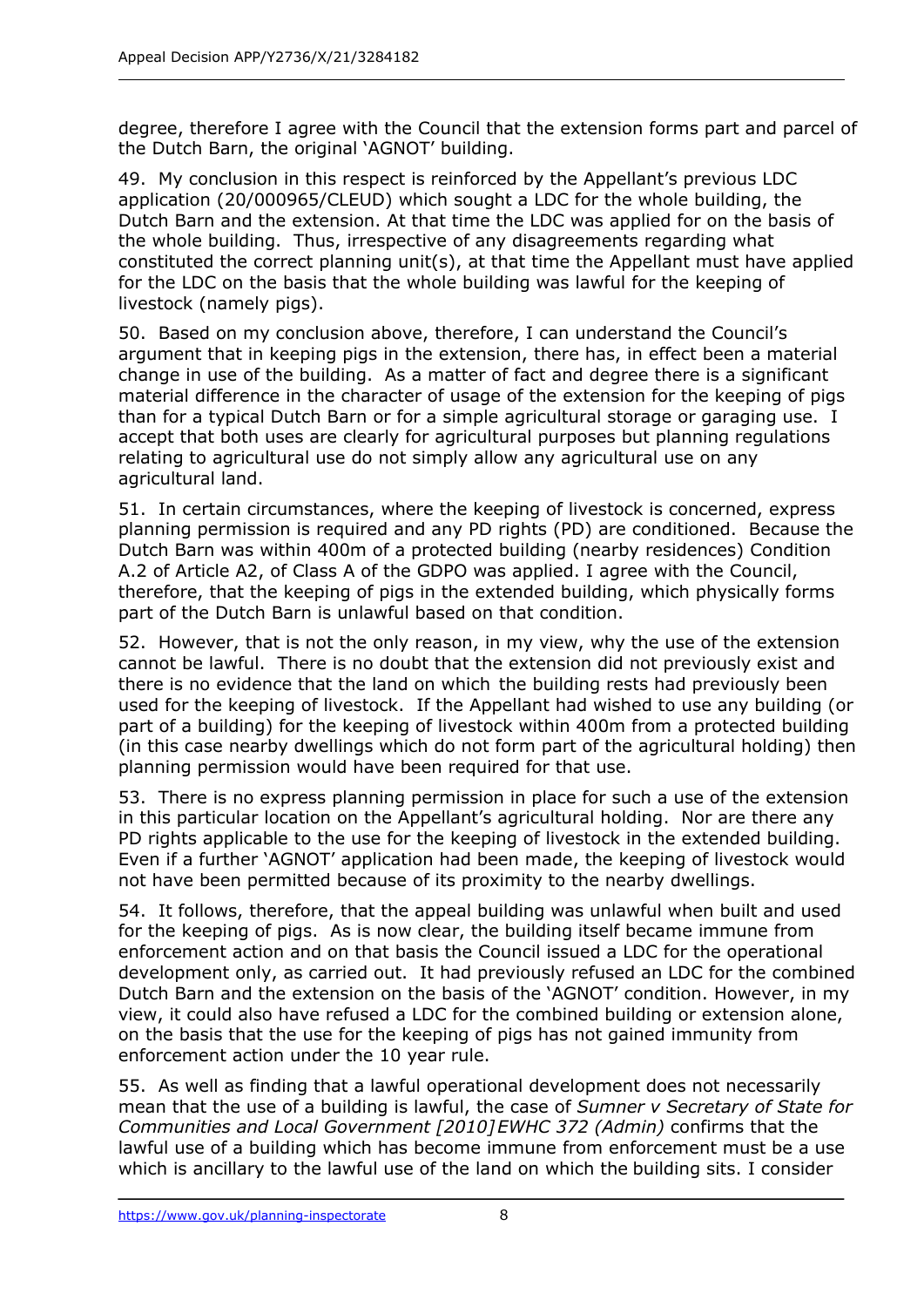degree, therefore I agree with the Council that the extension forms part and parcel of the Dutch Barn, the original 'AGNOT' building.

49. My conclusion in this respect is reinforced by the Appellant's previous LDC application (20/000965/CLEUD) which sought a LDC for the whole building, the Dutch Barn and the extension. At that time the LDC was applied for on the basis of the whole building. Thus, irrespective of any disagreements regarding what constituted the correct planning unit(s), at that time the Appellant must have applied for the LDC on the basis that the whole building was lawful for the keeping of livestock (namely pigs).

50. Based on my conclusion above, therefore, I can understand the Council's argument that in keeping pigs in the extension, there has, in effect been a material change in use of the building. As a matter of fact and degree there is a significant material difference in the character of usage of the extension for the keeping of pigs than for a typical Dutch Barn or for a simple agricultural storage or garaging use. I accept that both uses are clearly for agricultural purposes but planning regulations relating to agricultural use do not simply allow any agricultural use on any agricultural land.

51. In certain circumstances, where the keeping of livestock is concerned, express planning permission is required and any PD rights (PD) are conditioned. Because the Dutch Barn was within 400m of a protected building (nearby residences) Condition A.2 of Article A2, of Class A of the GDPO was applied. I agree with the Council, therefore, that the keeping of pigs in the extended building, which physically forms part of the Dutch Barn is unlawful based on that condition.

52. However, that is not the only reason, in my view, why the use of the extension cannot be lawful. There is no doubt that the extension did not previously exist and there is no evidence that the land on which the building rests had previously been used for the keeping of livestock. If the Appellant had wished to use any building (or part of a building) for the keeping of livestock within 400m from a protected building (in this case nearby dwellings which do not form part of the agricultural holding) then planning permission would have been required for that use.

53. There is no express planning permission in place for such a use of the extension in this particular location on the Appellant's agricultural holding. Nor are there any PD rights applicable to the use for the keeping of livestock in the extended building. Even if a further 'AGNOT' application had been made, the keeping of livestock would not have been permitted because of its proximity to the nearby dwellings.

54. It follows, therefore, that the appeal building was unlawful when built and used for the keeping of pigs. As is now clear, the building itself became immune from enforcement action and on that basis the Council issued a LDC for the operational development only, as carried out. It had previously refused an LDC for the combined Dutch Barn and the extension on the basis of the 'AGNOT' condition. However, in my view, it could also have refused a LDC for the combined building or extension alone, on the basis that the use for the keeping of pigs has not gained immunity from enforcement action under the 10 year rule.

55. As well as finding that a lawful operational development does not necessarily mean that the use of a building is lawful, the case of *Sumner v Secretary of State for Communities and Local Government [2010]EWHC 372 (Admin)* confirms that the lawful use of a building which has become immune from enforcement must be a use which is ancillary to the lawful use of the land on which the building sits. I consider